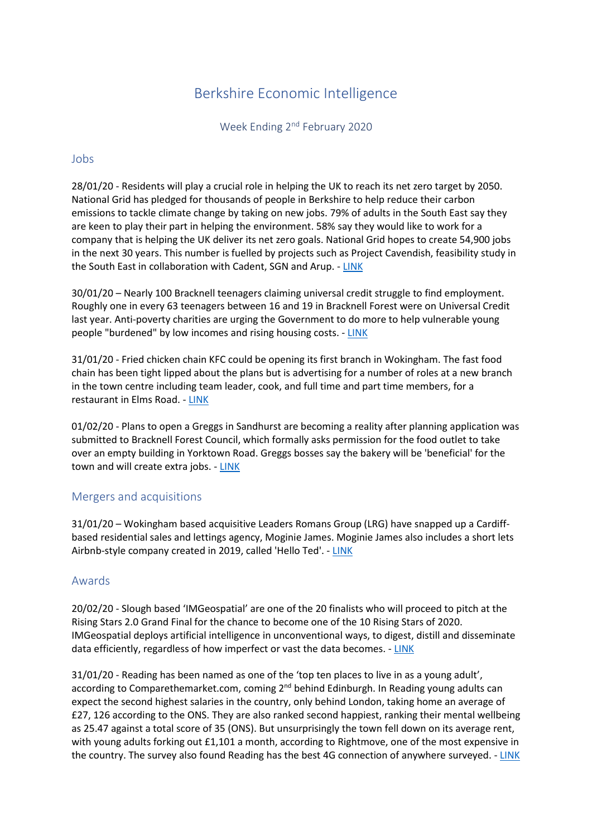# Berkshire Economic Intelligence

Week Ending 2<sup>nd</sup> February 2020

## Jobs

28/01/20 - Residents will play a crucial role in helping the UK to reach its net zero target by 2050. National Grid has pledged for thousands of people in Berkshire to help reduce their carbon emissions to tackle climate change by taking on new jobs. 79% of adults in the South East say they are keen to play their part in helping the environment. 58% say they would like to work for a company that is helping the UK deliver its net zero goals. National Grid hopes to create 54,900 jobs in the next 30 years. This number is fuelled by projects such as Project Cavendish, feasibility study in the South East in collaboration with Cadent, SGN and Arup. - [LINK](https://www.bracknellnews.co.uk/news/18190400.national-grid-pledge-south-east-play-crucial-role-hitting-uks-net-zero-emissions/)

30/01/20 – Nearly 100 Bracknell teenagers claiming universal credit struggle to find employment. Roughly one in every 63 teenagers between 16 and 19 in Bracknell Forest were on Universal Credit last year. Anti-poverty charities are urging the Government to do more to help vulnerable young people "burdened" by low incomes and rising housing costs. - [LINK](https://www.bracknellnews.co.uk/news/18198607.bracknell-teenagers-claiming-universal-credit-struggle-find-employment/)

31/01/20 - Fried chicken chain KFC could be opening its first branch in Wokingham. The fast food chain has been tight lipped about the plans but is advertising for a number of roles at a new branch in the town centre including team leader, cook, and full time and part time members, for a restaurant in Elms Road. - [LINK](https://www.getreading.co.uk/whats-on/food-drink-news/kfc-set-open-first-wokingham-17651087)

01/02/20 - Plans to open a Greggs in Sandhurst are becoming a reality after planning application was submitted to Bracknell Forest Council, which formally asks permission for the food outlet to take over an empty building in Yorktown Road. Greggs bosses say the bakery will be 'beneficial' for the town and will create extra jobs. - [LINK](https://www.getreading.co.uk/whats-on/food-drink-news/how-you-could-getting-your-17665923)

### Mergers and acquisitions

31/01/20 – Wokingham based acquisitive Leaders Romans Group (LRG) have snapped up a Cardiffbased residential sales and lettings agency, Moginie James. Moginie James also includes a short lets Airbnb-style company created in 2019, called 'Hello Ted'. - [LINK](https://www.insidermedia.com/news/south-east/acquisitive-lrg-moves-for-cardiff-firm)

### Awards

20/02/20 - Slough based 'IMGeospatial' are one of the 20 finalists who will proceed to pitch at the Rising Stars 2.0 Grand Final for the chance to become one of the 10 Rising Stars of 2020. IMGeospatial deploys artificial intelligence in unconventional ways, to digest, distill and disseminate data efficiently, regardless of how imperfect or vast the data becomes. - [LINK](https://technation.io/news/rising-stars-2-0-finalists/?utm_campaign=February%202020%20Newsletter&utm_source=hs_email&utm_medium=email&utm_content=82934072&_hsenc=p2ANqtz--fwJg1mQZgPFpTB7Ocj46M5wV1q0crSfWvQpYqwDgOYw-Qkm_8KCaF3B9MLbOmuTFtsTHeGCEn5FWbw7frJ261bwjOpD3jll8iZN36csmHxK-ks_c&_hsmi=82934073)

31/01/20 - Reading has been named as one of the 'top ten places to live in as a young adult', according to Comparethemarket.com, coming 2<sup>nd</sup> behind Edinburgh. In Reading young adults can expect the second highest salaries in the country, only behind London, taking home an average of £27, 126 according to the ONS. They are also ranked second happiest, ranking their mental wellbeing as 25.47 against a total score of 35 (ONS). But unsurprisingly the town fell down on its average rent, with young adults forking out £1,101 a month, according to Rightmove, one of the most expensive in the country. The survey also found Reading has the best 4G connection of anywhere surveyed. - [LINK](https://www.getreading.co.uk/news/business/reading-officially-one-best-places-17656354?utm_source=linkCopy&utm_medium=social&utm_campaign=sharebar)